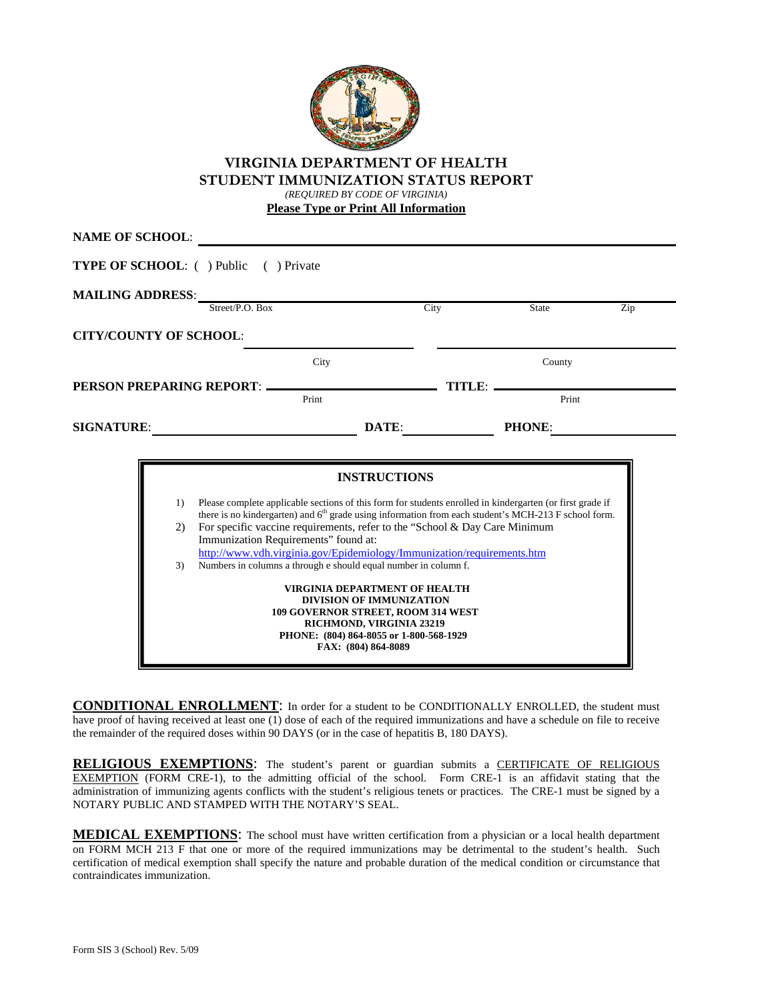

### **VIRGINIA DEPARTMENT OF HEALTH STUDENT IMMUNIZATION STATUS REPORT**

*(REQUIRED BY CODE OF VIRGINIA)* 

**Please Type or Print All Information**

|                   | <b>MAILING ADDRESS:</b><br>Street/P.O. Box        | City                                                                                                                                                                                                                                                                                                                                                                                                         | State         | Zip |
|-------------------|---------------------------------------------------|--------------------------------------------------------------------------------------------------------------------------------------------------------------------------------------------------------------------------------------------------------------------------------------------------------------------------------------------------------------------------------------------------------------|---------------|-----|
|                   | <b>CITY/COUNTY OF SCHOOL:</b>                     |                                                                                                                                                                                                                                                                                                                                                                                                              |               |     |
|                   | City                                              |                                                                                                                                                                                                                                                                                                                                                                                                              | County        |     |
|                   | PERSON PREPARING REPORT: _______________<br>Print | TITLE: -                                                                                                                                                                                                                                                                                                                                                                                                     | Print         |     |
| <b>SIGNATURE:</b> |                                                   | DATE:                                                                                                                                                                                                                                                                                                                                                                                                        | <b>PHONE:</b> |     |
|                   | 1)<br>2)<br>Immunization Requirements" found at:  | <b>INSTRUCTIONS</b><br>Please complete applicable sections of this form for students enrolled in kindergarten (or first grade if<br>there is no kindergarten) and 6 <sup>th</sup> grade using information from each student's MCH-213 F school form.<br>For specific vaccine requirements, refer to the "School & Day Care Minimum<br>http://www.ydh.virginia.gov/Epidemiology/Immunization/requirements.htm |               |     |

**CONDITIONAL ENROLLMENT**: In order for a student to be CONDITIONALLY ENROLLED, the student must have proof of having received at least one (1) dose of each of the required immunizations and have a schedule on file to receive the remainder of the required doses within 90 DAYS (or in the case of hepatitis B, 180 DAYS).

**RELIGIOUS EXEMPTIONS:** The student's parent or guardian submits a CERTIFICATE OF RELIGIOUS EXEMPTION (FORM CRE-1), to the admitting official of the school. Form CRE-1 is an affidavit stating that the administration of immunizing agents conflicts with the student's religious tenets or practices. The CRE-1 must be signed by a NOTARY PUBLIC AND STAMPED WITH THE NOTARY'S SEAL.

**MEDICAL EXEMPTIONS**: The school must have written certification from a physician or a local health department on FORM MCH 213 F that one or more of the required immunizations may be detrimental to the student's health. Such certification of medical exemption shall specify the nature and probable duration of the medical condition or circumstance that contraindicates immunization.